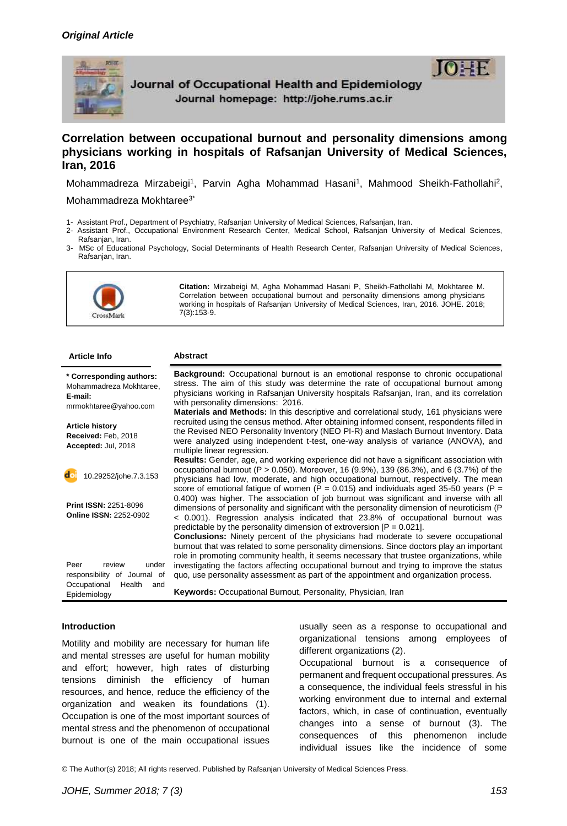

Journal of Occupational Health and Epidemiology Journal homepage: http://johe.rums.ac.ir

# **Correlation between occupational burnout and personality dimensions among physicians working in hospitals of Rafsanjan University of Medical Sciences, Iran, 2016**

Mohammadreza Mirzabeigi<sup>1</sup>, Parvin Agha Mohammad Hasani<sup>1</sup>, Mahmood Sheikh-Fathollahi<sup>2</sup>,

#### Mohammadreza Mokhtaree<sup>3\*</sup>

- 1- Assistant Prof., Department of Psychiatry, Rafsanjan University of Medical Sciences, Rafsanjan, Iran.
- 2- Assistant Prof., Occupational Environment Research Center, Medical School, Rafsanjan University of Medical Sciences, Rafsanian, Iran.
- 3- MSc of Educational Psychology, Social Determinants of Health Research Center, Rafsanjan University of Medical Sciences, Rafsanjan, Iran.



**Citation:** Mirzabeigi M, Agha Mohammad Hasani P, Sheikh-Fathollahi M, Mokhtaree M. Correlation between occupational burnout and personality dimensions among physicians working in hospitals of Rafsanjan University of Medical Sciences, Iran, 2016. JOHE. 2018; 7(3):153-9.

| <b>Background:</b> Occupational burnout is an emotional response to chronic occupational<br>* Corresponding authors:                                                                                                                                                                                                                                                                                                 |  |
|----------------------------------------------------------------------------------------------------------------------------------------------------------------------------------------------------------------------------------------------------------------------------------------------------------------------------------------------------------------------------------------------------------------------|--|
| stress. The aim of this study was determine the rate of occupational burnout among<br>Mohammadreza Mokhtaree,<br>physicians working in Rafsanjan University hospitals Rafsanjan, Iran, and its correlation<br>E-mail:<br>with personality dimensions: 2016.<br>mrmokhtaree@yahoo.com<br>Materials and Methods: In this descriptive and correlational study, 161 physicians were                                      |  |
| recruited using the census method. After obtaining informed consent, respondents filled in<br><b>Article history</b><br>the Revised NEO Personality Inventory (NEO PI-R) and Maslach Burnout Inventory. Data<br>Received: Feb. 2018<br>were analyzed using independent t-test, one-way analysis of variance (ANOVA), and<br>Accepted: Jul, 2018<br>multiple linear regression.                                       |  |
| Results: Gender, age, and working experience did not have a significant association with<br>occupational burnout (P > 0.050). Moreover, 16 (9.9%), 139 (86.3%), and 6 (3.7%) of the<br>10.29252/johe.7.3.153<br>physicians had low, moderate, and high occupational burnout, respectively. The mean<br>score of emotional fatigue of women ( $P = 0.015$ ) and individuals aged 35-50 years ( $P =$                  |  |
| 0.400) was higher. The association of job burnout was significant and inverse with all<br><b>Print ISSN: 2251-8096</b><br>dimensions of personality and significant with the personality dimension of neuroticism (P)<br><b>Online ISSN: 2252-0902</b><br>< 0.001). Regression analysis indicated that 23.8% of occupational burnout was<br>predictable by the personality dimension of extroversion $[P = 0.021]$ . |  |
| <b>Conclusions:</b> Ninety percent of the physicians had moderate to severe occupational<br>burnout that was related to some personality dimensions. Since doctors play an important<br>role in promoting community health, it seems necessary that trustee organizations, while                                                                                                                                     |  |
| investigating the factors affecting occupational burnout and trying to improve the status<br>Peer<br>review<br>under<br>quo, use personality assessment as part of the appointment and organization process.<br>responsibility of Journal of                                                                                                                                                                         |  |
| Occupational<br>Health<br>and<br>Keywords: Occupational Burnout, Personality, Physician, Iran<br>Epidemiology                                                                                                                                                                                                                                                                                                        |  |

### **Introduction**

Motility and mobility are necessary for human life and mental stresses are useful for human mobility and effort; however, high rates of disturbing tensions diminish the efficiency of human resources, and hence, reduce the efficiency of the organization and weaken its foundations (1). Occupation is one of the most important sources of mental stress and the phenomenon of occupational burnout is one of the main occupational issues

usually seen as a response to occupational and organizational tensions among employees of different organizations (2).

Occupational burnout is a consequence of permanent and frequent occupational pressures. As a consequence, the individual feels stressful in his working environment due to internal and external factors, which, in case of continuation, eventually changes into a sense of burnout (3). The consequences of this phenomenon include individual issues like the incidence of some

© The Author(s) 2018; All rights reserved. Published by Rafsanjan University of Medical Sciences Press.

 $\mathsf{I} \mathsf{D}$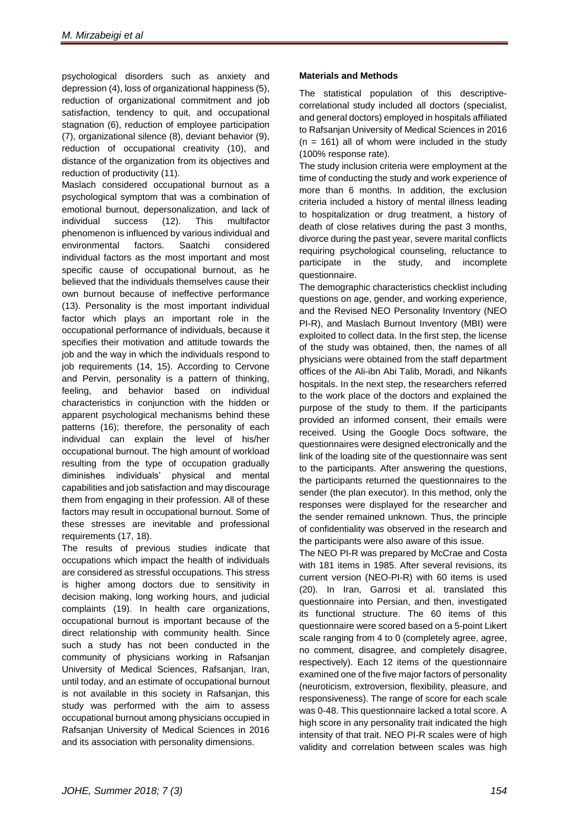psychological disorders such as anxiety and depression (4), loss of organizational happiness (5), reduction of organizational commitment and job satisfaction, tendency to quit, and occupational stagnation (6), reduction of employee participation (7), organizational silence (8), deviant behavior (9), reduction of occupational creativity (10), and distance of the organization from its objectives and reduction of productivity (11).

Maslach considered occupational burnout as a psychological symptom that was a combination of emotional burnout, depersonalization, and lack of individual success (12). This multifactor phenomenon is influenced by various individual and environmental factors. Saatchi considered individual factors as the most important and most specific cause of occupational burnout, as he believed that the individuals themselves cause their own burnout because of ineffective performance (13). Personality is the most important individual factor which plays an important role in the occupational performance of individuals, because it specifies their motivation and attitude towards the job and the way in which the individuals respond to job requirements (14, 15). According to Cervone and Pervin, personality is a pattern of thinking, feeling, and behavior based on individual characteristics in conjunction with the hidden or apparent psychological mechanisms behind these patterns (16); therefore, the personality of each individual can explain the level of his/her occupational burnout. The high amount of workload resulting from the type of occupation gradually diminishes individuals' physical and mental capabilities and job satisfaction and may discourage them from engaging in their profession. All of these factors may result in occupational burnout. Some of these stresses are inevitable and professional requirements (17, 18).

The results of previous studies indicate that occupations which impact the health of individuals are considered as stressful occupations. This stress is higher among doctors due to sensitivity in decision making, long working hours, and judicial complaints (19). In health care organizations, occupational burnout is important because of the direct relationship with community health. Since such a study has not been conducted in the community of physicians working in Rafsanjan University of Medical Sciences, Rafsanjan, Iran, until today, and an estimate of occupational burnout is not available in this society in Rafsanjan, this study was performed with the aim to assess occupational burnout among physicians occupied in Rafsanjan University of Medical Sciences in 2016 and its association with personality dimensions.

## **Materials and Methods**

The statistical population of this descriptivecorrelational study included all doctors (specialist, and general doctors) employed in hospitals affiliated to Rafsanjan University of Medical Sciences in 2016  $(n = 161)$  all of whom were included in the study (100% response rate).

The study inclusion criteria were employment at the time of conducting the study and work experience of more than 6 months. In addition, the exclusion criteria included a history of mental illness leading to hospitalization or drug treatment, a history of death of close relatives during the past 3 months, divorce during the past year, severe marital conflicts requiring psychological counseling, reluctance to participate in the study, and incomplete questionnaire.

The demographic characteristics checklist including questions on age, gender, and working experience, and the Revised NEO Personality Inventory (NEO PI-R), and Maslach Burnout Inventory (MBI) were exploited to collect data. In the first step, the license of the study was obtained, then, the names of all physicians were obtained from the staff department offices of the Ali-ibn Abi Talib, Moradi, and Nikanfs hospitals. In the next step, the researchers referred to the work place of the doctors and explained the purpose of the study to them. If the participants provided an informed consent, their emails were received. Using the Google Docs software, the questionnaires were designed electronically and the link of the loading site of the questionnaire was sent to the participants. After answering the questions, the participants returned the questionnaires to the sender (the plan executor). In this method, only the responses were displayed for the researcher and the sender remained unknown. Thus, the principle of confidentiality was observed in the research and the participants were also aware of this issue.

The NEO PI-R was prepared by McCrae and Costa with 181 items in 1985. After several revisions, its current version (NEO-PI-R) with 60 items is used (20). In Iran, Garrosi et al. translated this questionnaire into Persian, and then, investigated its functional structure. The 60 items of this questionnaire were scored based on a 5-point Likert scale ranging from 4 to 0 (completely agree, agree, no comment, disagree, and completely disagree, respectively). Each 12 items of the questionnaire examined one of the five major factors of personality (neuroticism, extroversion, flexibility, pleasure, and responsiveness). The range of score for each scale was 0-48. This questionnaire lacked a total score. A high score in any personality trait indicated the high intensity of that trait. NEO PI-R scales were of high validity and correlation between scales was high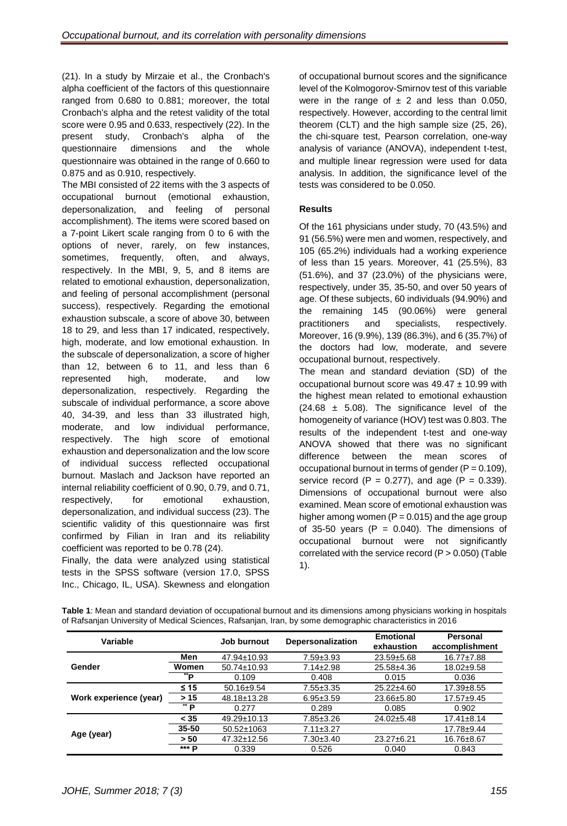(21). In a study by Mirzaie et al., the Cronbach's alpha coefficient of the factors of this questionnaire ranged from 0.680 to 0.881; moreover, the total Cronbach's alpha and the retest validity of the total score were 0.95 and 0.633, respectively (22). In the present study, Cronbach's alpha of the questionnaire dimensions and the whole questionnaire was obtained in the range of 0.660 to 0.875 and as 0.910, respectively.

The MBI consisted of 22 items with the 3 aspects of occupational burnout (emotional exhaustion, depersonalization, and feeling of personal accomplishment). The items were scored based on a 7-point Likert scale ranging from 0 to 6 with the options of never, rarely, on few instances, sometimes, frequently, often, and always, respectively. In the MBI, 9, 5, and 8 items are related to emotional exhaustion, depersonalization, and feeling of personal accomplishment (personal success), respectively. Regarding the emotional exhaustion subscale, a score of above 30, between 18 to 29, and less than 17 indicated, respectively, high, moderate, and low emotional exhaustion. In the subscale of depersonalization, a score of higher than 12, between 6 to 11, and less than 6 represented high, moderate, and low depersonalization, respectively. Regarding the subscale of individual performance, a score above 40, 34-39, and less than 33 illustrated high, moderate, and low individual performance, respectively. The high score of emotional exhaustion and depersonalization and the low score of individual success reflected occupational burnout. Maslach and Jackson have reported an internal reliability coefficient of 0.90, 0.79, and 0.71, respectively, for emotional exhaustion, depersonalization, and individual success (23). The scientific validity of this questionnaire was first confirmed by Filian in Iran and its reliability coefficient was reported to be 0.78 (24).

Finally, the data were analyzed using statistical tests in the SPSS software (version 17.0, SPSS Inc., Chicago, IL, USA). Skewness and elongation

of occupational burnout scores and the significance level of the Kolmogorov-Smirnov test of this variable were in the range of  $\pm$  2 and less than 0.050, respectively. However, according to the central limit theorem (CLT) and the high sample size (25, 26), the chi-square test, Pearson correlation, one-way analysis of variance (ANOVA), independent t-test, and multiple linear regression were used for data analysis. In addition, the significance level of the tests was considered to be 0.050.

## **Results**

Of the 161 physicians under study, 70 (43.5%) and 91 (56.5%) were men and women, respectively, and 105 (65.2%) individuals had a working experience of less than 15 years. Moreover, 41 (25.5%), 83 (51.6%), and 37 (23.0%) of the physicians were, respectively, under 35, 35-50, and over 50 years of age. Of these subjects, 60 individuals (94.90%) and the remaining 145 (90.06%) were general practitioners and specialists, respectively. Moreover, 16 (9.9%), 139 (86.3%), and 6 (35.7%) of the doctors had low, moderate, and severe occupational burnout, respectively.

The mean and standard deviation (SD) of the occupational burnout score was  $49.47 \pm 10.99$  with the highest mean related to emotional exhaustion  $(24.68 \pm 5.08)$ . The significance level of the homogeneity of variance (HOV) test was 0.803. The results of the independent t-test and one-way ANOVA showed that there was no significant difference between the mean scores of occupational burnout in terms of gender  $(P = 0.109)$ , service record  $(P = 0.277)$ , and age  $(P = 0.339)$ . Dimensions of occupational burnout were also examined. Mean score of emotional exhaustion was higher among women  $(P = 0.015)$  and the age group of 35-50 years (P =  $0.040$ ). The dimensions of occupational burnout were not significantly correlated with the service record  $(P > 0.050)$  (Table 1).

| Variable               |              | Job burnout       | <b>Depersonalization</b> | <b>Emotional</b><br>exhaustion | <b>Personal</b><br>accomplishment |
|------------------------|--------------|-------------------|--------------------------|--------------------------------|-----------------------------------|
| Gender                 | Men          | 47.94±10.93       | $7.59 \pm 3.93$          | $23.59 \pm 5.68$               | $16.77 \pm 7.88$                  |
|                        | Women        | $50.74 \pm 10.93$ | $7.14 \pm 2.98$          | $25.58 \pm 4.36$               | $18.02 \pm 9.58$                  |
|                        | **p          | 0.109             | 0.408                    | 0.015                          | 0.036                             |
| Work experience (year) | $≤ 15$       | $50.16 \pm 9.54$  | $7.55 \pm 3.35$          | $25.22 \pm 4.60$               | $17.39 + 8.55$                    |
|                        | > 15         | 48.18±13.28       | $6.95 \pm 3.59$          | 23.66±5.80                     | $17.57 + 9.45$                    |
|                        | ** <b>P</b>  | 0.277             | 0.289                    | 0.085                          | 0.902                             |
| Age (year)             | $<$ 35       | 49.29±10.13       | 7.85±3.26                | $24.02 \pm 5.48$               | $17.41 \pm 8.14$                  |
|                        | $35 - 50$    | $50.52 \pm 1063$  | $7.11 \pm 3.27$          |                                | $17.78 + 9.44$                    |
|                        | > 50         | 47.32±12.56       | $7.30 \pm 3.40$          | $23.27 \pm 6.21$               | 16.76±8.67                        |
|                        | *** <b>D</b> | 0.339             | 0.526                    | 0.040                          | 0.843                             |

**Table 1**: Mean and standard deviation of occupational burnout and its dimensions among physicians working in hospitals of Rafsanjan University of Medical Sciences, Rafsanjan, Iran, by some demographic characteristics in 2016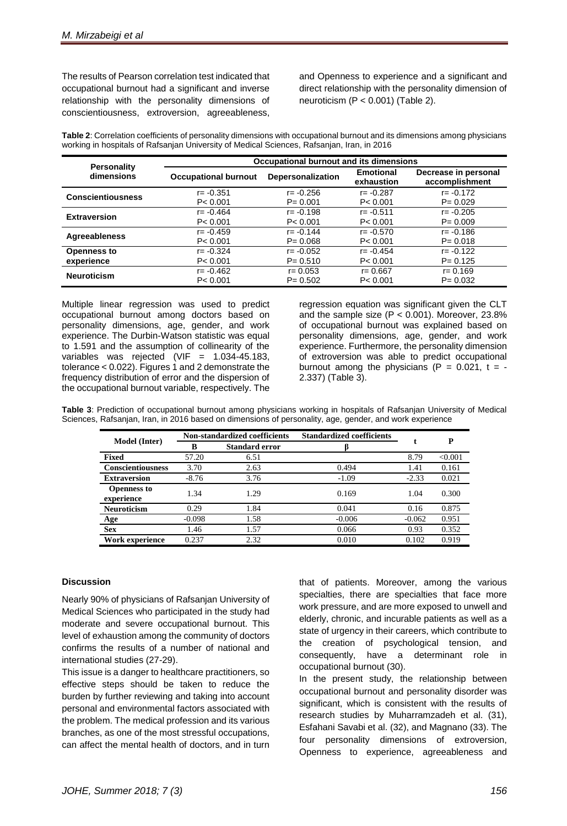The results of Pearson correlation test indicated that occupational burnout had a significant and inverse relationship with the personality dimensions of conscientiousness, extroversion, agreeableness,

and Openness to experience and a significant and direct relationship with the personality dimension of neuroticism  $(P < 0.001)$  (Table 2).

**Table 2**: Correlation coefficients of personality dimensions with occupational burnout and its dimensions among physicians working in hospitals of Rafsanjan University of Medical Sciences, Rafsanjan, Iran, in 2016

| <b>Personality</b><br>dimensions | Occupational burnout and its dimensions |                   |                                |                                        |  |  |
|----------------------------------|-----------------------------------------|-------------------|--------------------------------|----------------------------------------|--|--|
|                                  | <b>Occupational burnout</b>             | Depersonalization | <b>Emotional</b><br>exhaustion | Decrease in personal<br>accomplishment |  |  |
| <b>Conscientiousness</b>         | $r = -0.351$                            | $r = -0.256$      | $r = -0.287$                   | $r = -0.172$                           |  |  |
|                                  | P < 0.001                               | $P = 0.001$       | P < 0.001                      | $P = 0.029$                            |  |  |
| <b>Extraversion</b>              | $r = -0.464$                            | $r = -0.198$      | $r = -0.511$                   | $r = -0.205$                           |  |  |
|                                  | P < 0.001                               | P < 0.001         | P < 0.001                      | $P = 0.009$                            |  |  |
| <b>Agreeableness</b>             | $r = -0.459$                            | $r = -0.144$      | $r = -0.570$                   | $r = -0.186$                           |  |  |
|                                  | P < 0.001                               | $P = 0.068$       | P < 0.001                      | $P = 0.018$                            |  |  |
| <b>Openness to</b>               | $r = -0.324$                            | $r = -0.052$      | $r = -0.454$                   | $r = -0.122$                           |  |  |
| experience                       | P < 0.001                               | $P = 0.510$       | P < 0.001                      | $P = 0.125$                            |  |  |
| <b>Neuroticism</b>               | $r = -0.462$                            | $r = 0.053$       | $r = 0.667$                    | $r = 0.169$                            |  |  |
|                                  | P < 0.001                               | $P = 0.502$       | P < 0.001                      | $P = 0.032$                            |  |  |

Multiple linear regression was used to predict occupational burnout among doctors based on personality dimensions, age, gender, and work experience. The Durbin-Watson statistic was equal to 1.591 and the assumption of collinearity of the variables was rejected (VIF = 1.034-45.183, tolerance < 0.022). Figures 1 and 2 demonstrate the frequency distribution of error and the dispersion of the occupational burnout variable, respectively. The regression equation was significant given the CLT and the sample size  $(P < 0.001)$ . Moreover, 23.8% of occupational burnout was explained based on personality dimensions, age, gender, and work experience. Furthermore, the personality dimension of extroversion was able to predict occupational burnout among the physicians ( $P = 0.021$ ,  $t = -$ 2.337) (Table 3).

**Table 3**: Prediction of occupational burnout among physicians working in hospitals of Rafsanjan University of Medical Sciences, Rafsanjan, Iran, in 2016 based on dimensions of personality, age, gender, and work experience

| <b>Model</b> (Inter)             | Non-standardized coefficients |                       | <b>Standardized coefficients</b> |          | P       |
|----------------------------------|-------------------------------|-----------------------|----------------------------------|----------|---------|
|                                  | B                             | <b>Standard error</b> |                                  |          |         |
| Fixed                            | 57.20                         | 6.51                  |                                  | 8.79     | < 0.001 |
| <b>Conscientiousness</b>         | 3.70                          | 2.63                  | 0.494                            | 1.41     | 0.161   |
| <b>Extraversion</b>              | $-8.76$                       | 3.76                  | $-1.09$                          | $-2.33$  | 0.021   |
| <b>Openness to</b><br>experience | 1.34                          | 1.29                  | 0.169                            | 1.04     | 0.300   |
| Neuroticism                      | 0.29                          | 1.84                  | 0.041                            | 0.16     | 0.875   |
| Age                              | $-0.098$                      | 1.58                  | $-0.006$                         | $-0.062$ | 0.951   |
| <b>Sex</b>                       | 1.46                          | 1.57                  | 0.066                            | 0.93     | 0.352   |
| Work experience                  | 0.237                         | 2.32                  | 0.010                            | 0.102    | 0.919   |

### **Discussion**

Nearly 90% of physicians of Rafsanjan University of Medical Sciences who participated in the study had moderate and severe occupational burnout. This level of exhaustion among the community of doctors confirms the results of a number of national and international studies (27-29).

This issue is a danger to healthcare practitioners, so effective steps should be taken to reduce the burden by further reviewing and taking into account personal and environmental factors associated with the problem. The medical profession and its various branches, as one of the most stressful occupations, can affect the mental health of doctors, and in turn that of patients. Moreover, among the various specialties, there are specialties that face more work pressure, and are more exposed to unwell and elderly, chronic, and incurable patients as well as a state of urgency in their careers, which contribute to the creation of psychological tension, and consequently, have a determinant role in occupational burnout (30).

In the present study, the relationship between occupational burnout and personality disorder was significant, which is consistent with the results of research studies by Muharramzadeh et al. (31), Esfahani Savabi et al. (32), and Magnano (33). The four personality dimensions of extroversion, Openness to experience, agreeableness and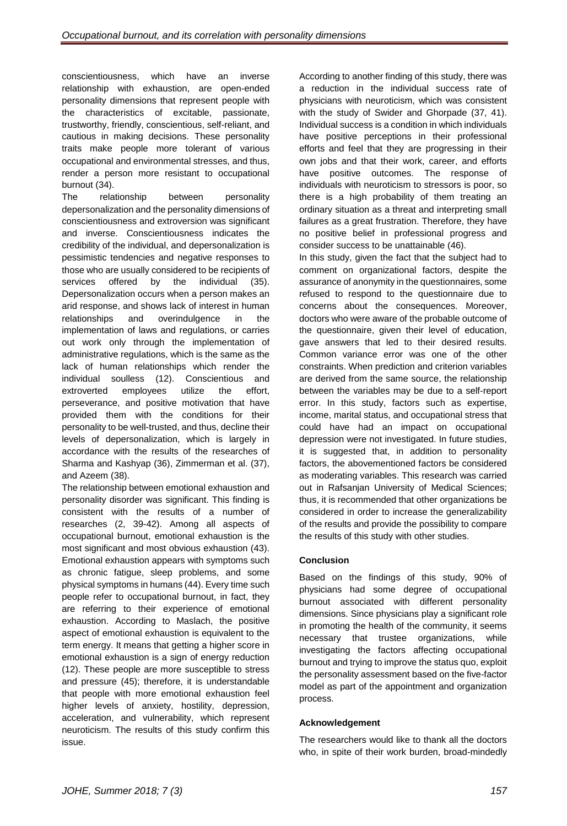conscientiousness, which have an inverse relationship with exhaustion, are open-ended personality dimensions that represent people with the characteristics of excitable, passionate, trustworthy, friendly, conscientious, self-reliant, and cautious in making decisions. These personality traits make people more tolerant of various occupational and environmental stresses, and thus, render a person more resistant to occupational burnout (34).

The relationship between personality depersonalization and the personality dimensions of conscientiousness and extroversion was significant and inverse. Conscientiousness indicates the credibility of the individual, and depersonalization is pessimistic tendencies and negative responses to those who are usually considered to be recipients of services offered by the individual (35). Depersonalization occurs when a person makes an arid response, and shows lack of interest in human relationships and overindulgence in the implementation of laws and regulations, or carries out work only through the implementation of administrative regulations, which is the same as the lack of human relationships which render the individual soulless (12). Conscientious and extroverted employees utilize the effort, perseverance, and positive motivation that have provided them with the conditions for their personality to be well-trusted, and thus, decline their levels of depersonalization, which is largely in accordance with the results of the researches of Sharma and Kashyap (36), Zimmerman et al. (37), and Azeem (38).

The relationship between emotional exhaustion and personality disorder was significant. This finding is consistent with the results of a number of researches (2, 39-42). Among all aspects of occupational burnout, emotional exhaustion is the most significant and most obvious exhaustion (43). Emotional exhaustion appears with symptoms such as chronic fatigue, sleep problems, and some physical symptoms in humans (44). Every time such people refer to occupational burnout, in fact, they are referring to their experience of emotional exhaustion. According to Maslach, the positive aspect of emotional exhaustion is equivalent to the term energy. It means that getting a higher score in emotional exhaustion is a sign of energy reduction (12). These people are more susceptible to stress and pressure (45); therefore, it is understandable that people with more emotional exhaustion feel higher levels of anxiety, hostility, depression, acceleration, and vulnerability, which represent neuroticism. The results of this study confirm this issue.

According to another finding of this study, there was a reduction in the individual success rate of physicians with neuroticism, which was consistent with the study of Swider and Ghorpade (37, 41). Individual success is a condition in which individuals have positive perceptions in their professional efforts and feel that they are progressing in their own jobs and that their work, career, and efforts have positive outcomes. The response of individuals with neuroticism to stressors is poor, so there is a high probability of them treating an ordinary situation as a threat and interpreting small failures as a great frustration. Therefore, they have no positive belief in professional progress and consider success to be unattainable (46).

In this study, given the fact that the subject had to comment on organizational factors, despite the assurance of anonymity in the questionnaires, some refused to respond to the questionnaire due to concerns about the consequences. Moreover, doctors who were aware of the probable outcome of the questionnaire, given their level of education, gave answers that led to their desired results. Common variance error was one of the other constraints. When prediction and criterion variables are derived from the same source, the relationship between the variables may be due to a self-report error. In this study, factors such as expertise, income, marital status, and occupational stress that could have had an impact on occupational depression were not investigated. In future studies, it is suggested that, in addition to personality factors, the abovementioned factors be considered as moderating variables. This research was carried out in Rafsanjan University of Medical Sciences; thus, it is recommended that other organizations be considered in order to increase the generalizability of the results and provide the possibility to compare the results of this study with other studies.

## **Conclusion**

Based on the findings of this study, 90% of physicians had some degree of occupational burnout associated with different personality dimensions. Since physicians play a significant role in promoting the health of the community, it seems necessary that trustee organizations, while investigating the factors affecting occupational burnout and trying to improve the status quo, exploit the personality assessment based on the five-factor model as part of the appointment and organization process.

## **Acknowledgement**

The researchers would like to thank all the doctors who, in spite of their work burden, broad-mindedly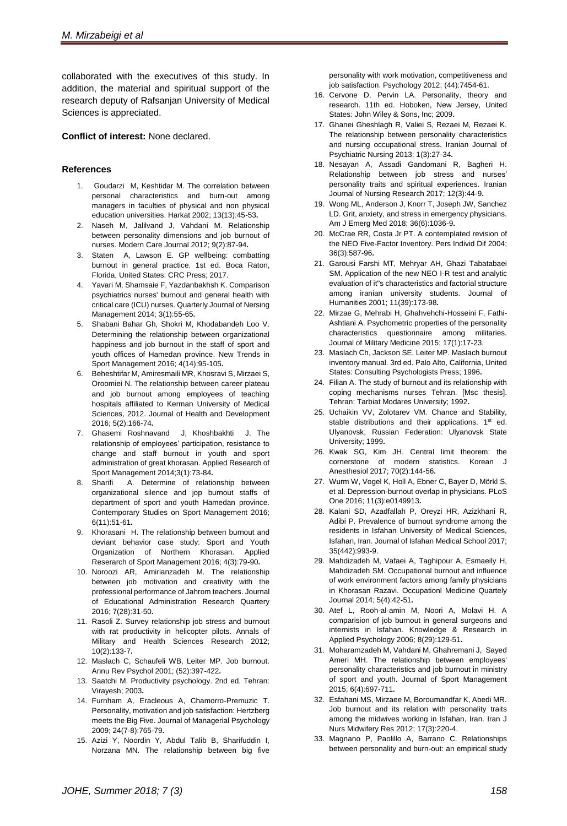collaborated with the executives of this study. In addition, the material and spiritual support of the research deputy of Rafsanjan University of Medical Sciences is appreciated.

### **Conflict of interest:** None declared.

#### **References**

- 1. Goudarzi M, Keshtidar M. The correlation between personal characteristics and burn-out among managers in faculties of physical and non physical education universities. Harkat 2002; 13(13):45-53**.**
- 2. Naseh M, Jalilvand J, Vahdani M. Relationship between personality dimensions and job burnout of nurses. Modern Care Journal 2012; 9(2):87-94**.**
- 3. Staten A, Lawson E. GP wellbeing: combatting burnout in general practice. 1st ed. [Boca Raton,](https://en.wikipedia.org/wiki/Boca_Raton)  [Florida,](https://en.wikipedia.org/wiki/Florida) United States: CRC Press; 2017.
- 4. Yavari M, Shamsaie F, Yazdanbakhsh K. Comparison psychiatrics nurses' burnout and general health with critical care (ICU) nurses. Quarterly Journal of Nersing Management 2014; 3(1):55-65**.**
- 5. Shabani Bahar Gh, Shokri M, Khodabandeh Loo V. Determining the relationship between organizational happiness and job burnout in the staff of sport and youth offices of Hamedan province. New Trends in Sport Management 2016; 4(14):95-105**.**
- 6. Beheshtifar M, Amiresmaili MR, Khosravi S, Mirzaei S, Oroomiei N. The relationship between career plateau and job burnout among employees of teaching hospitals affiliated to Kerman University of Medical Sciences, 2012. Journal of Health and Development 2016; 5(2):166-74**.**
- 7. Ghasemi Roshnavand J, Khoshbakhti J. The relationship of employees' participation, resistance to change and staff burnout in youth and sport administration of great khorasan. Applied Research of Sport Management 2014;3(1):73-84**.**
- 8. Sharifi A. Determine of relationship between organizational silence and jop burnout staffs of department of sport and youth Hamedan province. Contemporary Studies on Sport Management 2016; 6(11):51-61**.**
- 9. Khorasani H. The relationship between burnout and deviant behavior case study: Sport and Youth Organization of Northern Khorasan. Applied Reserarch of Sport Management 2016; 4(3):79-90**.**
- 10. Noroozi AR, Amirianzadeh M. The relationship between job motivation and creativity with the professional performance of Jahrom teachers. Journal of Educational Administration Research Quartery 2016; 7(28):31-50**.**
- 11. Rasoli Z. Survey relationship job stress and burnout with rat productivity in helicopter pilots. Annals of Military and Health Sciences Research 2012; 10(2):133-7**.**
- 12. Maslach C, Schaufeli WB, Leiter MP. Job burnout. Annu Rev Psychol 2001; (52):397-422**.**
- 13. Saatchi M. Productivity psychology. 2nd ed. Tehran: Virayesh; 2003**.**
- 14. Furnham A, Eracleous A, Chamorro-Premuzic T. Personality, motivation and job satisfaction: Hertzberg meets the Big Five. Journal of Managerial Psychology 2009; 24(7-8):765-79**.**
- 15. Azizi Y, Noordin Y, Abdul Talib B, Sharifuddin I, Norzana MN. The relationship between big five

personality with work motivation, competitiveness and job satisfaction. Psychology 2012; (44):7454-61.

- 16. Cervone D, Pervin LA. Personality, theory and research. 11th ed. [Hoboken, New Jersey,](https://en.wikipedia.org/wiki/Hoboken,_New_Jersey) United States: John Wiley & Sons, Inc; 2009**.**
- 17. Ghanei Gheshlagh R, Valiei S, Rezaei M, Rezaei K. The relationship between personality characteristics and nursing occupational stress. Iranian Journal of Psychiatric Nursing 2013; 1(3):27-34**.**
- 18. Nesayan A, Assadi Gandomani R, Bagheri H. Relationship between job stress and nurses' personality traits and spiritual experiences. Iranian Journal of Nursing Research 2017; 12(3):44-9**.**
- 19. Wong ML, Anderson J, Knorr T, Joseph JW, Sanchez LD. Grit, anxiety, and stress in emergency physicians. Am J Emerg Med 2018; 36(6):1036-9**.**
- 20. McCrae RR, Costa Jr PT. A contemplated revision of the NEO Five-Factor Inventory. Pers Individ Dif 2004; 36(3):587-96**.**
- 21. Garousi Farshi MT, Mehryar AH, Ghazi Tabatabaei SM. Application of the new NEO I-R test and analytic evaluation of it"s characteristics and factorial structure among iranian university students. Journal of Humanities 2001; 11(39):173-98**.**
- 22. Mirzae G, Mehrabi H, Ghahvehchi-Hosseini F, Fathi-Ashtiani A. Psychometric properties of the personality characteristics questionnaire among militaries. Journal of Military Medicine 2015; 17(1):17-23.
- 23. Maslach Ch, Jackson SE, Leiter MP. Maslach burnout inventory manual. 3rd ed. Palo Alto, California, United States: Consulting Psychologists Press; 1996**.**
- 24. Filian A. The study of burnout and its relationship with coping mechanisms nurses Tehran. [Msc thesis]. Tehran: Tarbiat Modares University; 1992**.**
- 25. Uchaikin VV, Zolotarev VM. Chance and Stability, stable distributions and their applications. 1<sup>st</sup> ed. Ulyanovsk, Russian Federation: Ulyanovsk State University; 1999**.**
- 26. Kwak SG, Kim JH. Central limit theorem: the cornerstone of modern statistics. Korean Anesthesiol 2017; 70(2):144-56**.**
- 27. Wurm W, Vogel K, Holl A, Ebner C, Bayer D, Mörkl S, et al. Depression-burnout overlap in physicians. PLoS One 2016; 11(3):e0149913**.**
- 28. Kalani SD, Azadfallah P, Oreyzi HR, Azizkhani R, Adibi P. Prevalence of burnout syndrome among the residents in Isfahan University of Medical Sciences, Isfahan, Iran. Journal of Isfahan Medical School 2017; 35(442):993-9.
- 29. Mahdizadeh M, Vafaei A, Taghipour A, Esmaeily H, Mahdizadeh SM. Occupational burnout and influence of work environment factors among family physicians in Khorasan Razavi. Occupationl Medicine Quartely Journal 2014; 5(4):42-51**.**
- 30. Atef L, Rooh-al-amin M, Noori A, Molavi H. A comparision of job burnout in general surgeons and internists in Isfahan. Knowledge & Research in Applied Psychology 2006; 8(29):129-51**.**
- 31. Moharamzadeh M, Vahdani M, Ghahremani J, Sayed Ameri MH. The relationship between employees' personality characteristics and job burnout in ministry of sport and youth. Journal of Sport Management 2015; 6(4):697-711**.**
- 32. Esfahani MS, Mirzaee M, Boroumandfar K, Abedi MR. Job burnout and its relation with personality traits among the midwives working in Isfahan, Iran. Iran J Nurs Midwifery Res 2012; 17(3):220-4.
- 33. Magnano P, Paolillo A, Barrano C. Relationships between personality and burn-out: an empirical study